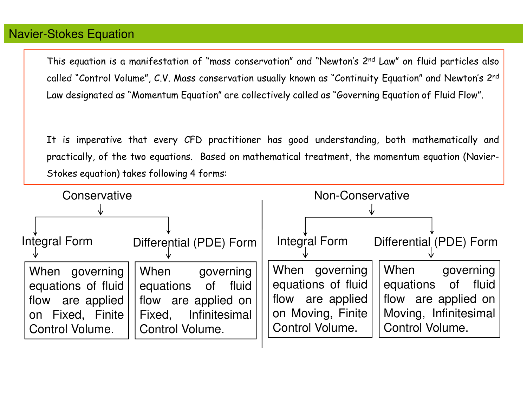### Navier-Stokes Equation

This equation is <sup>a</sup> manifestation of "mass conservation" and "Newton's <sup>2</sup>nd Law" on fluid particles also called "Control Volume", C.V. Mass conservation usually known as "Continuity Equation" and Newton's <sup>2</sup>nd Law designated as "Momentum Equation" are collectively called as "Governing Equation of Fluid Flow".

It is imperative that every CFD practitioner has goo<sup>d</sup> understanding, both mathematically andpractically, of the two equations. Based on mathematical treatment, the momentum equation (Navier-Stokes equation) takes following <sup>4</sup> forms:

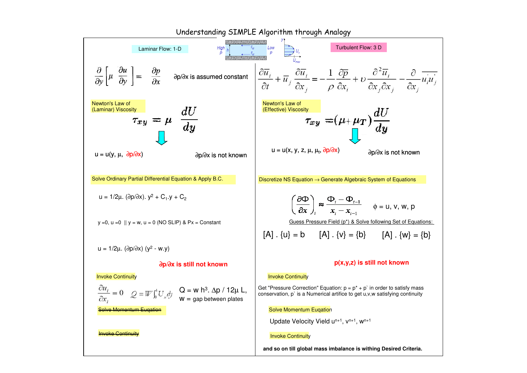

Understanding SIMPLE Algorithm through Analogy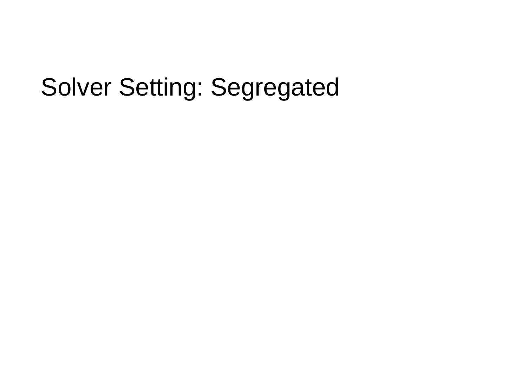## Solver Setting: Segregated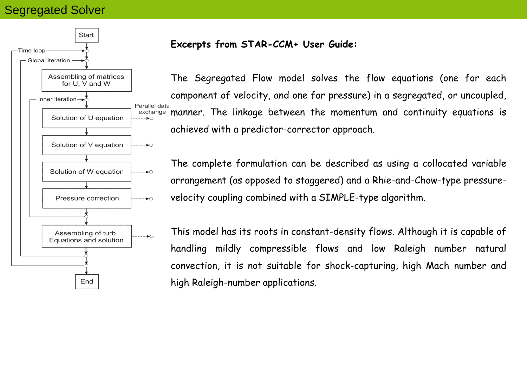## Segregated Solver



#### **Excerpts from STAR-CCM+ User Guide:**

The Segregated Flow model solves the flow equations (one for each component of velocity, and one for pressure) in a segregated, or uncoupled, exchange manner. The linkage between the momentum and continuity equations is achieved with a predictor-corrector approach.

The complete formulation can be described as using a collocated variable arrangement (as opposed to staggered) and a Rhie-and-Chow-type pressurevelocity coupling combined with a SIMPLE-type algorithm.

This model has its roots in constant-density flows. Although it is capable of handling mildly compressible flows and low Raleigh number natural convection, it is not suitable for shock-capturing, high Mach number and high Raleigh-number applications.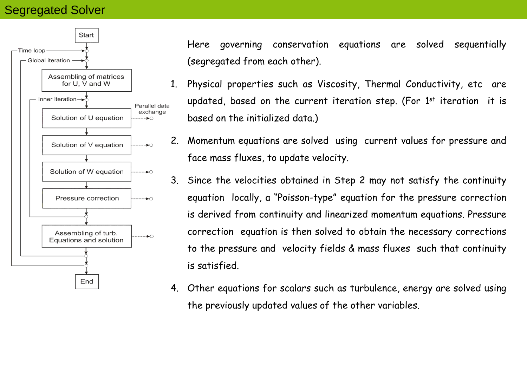## Segregated Solver



Here governing conservation equations are solved sequentially (segregated from each other).

- 1. Physical properties such as Viscosity, Thermal Conductivity, etc are updated, based on the current iteration step. (For  $1^\mathrm{st}$  iteration  $\,$  it is based on the initialized data.)
- 2. Momentum equations are solved using current values for pressure and face mass fluxes, to update velocity.
- 3. Since the velocities obtained in Step 2 may not satisfy the continuity equation locally, a "Poisson-type" equation for the pressure correction is derived from continuity and linearized momentum equations. Pressure correction equation is then solved to obtain the necessary corrections to the pressure and velocity fields & mass fluxes such that continuity is satisfied.
- 4. Other equations for scalars such as turbulence, energy are solved using the previously updated values of the other variables.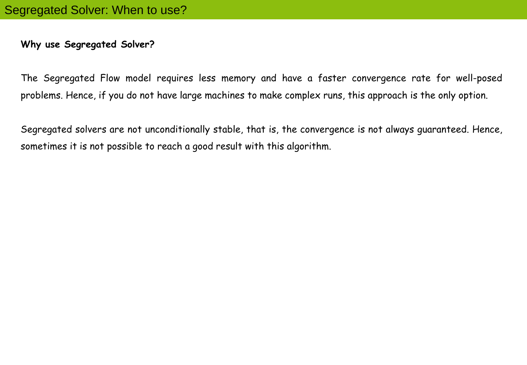### **Why use Segregated Solver?**

The Segregated Flow model requires less memory and have a faster convergence rate for well-posed problems. Hence, if you do not have large machines to make complex runs, this approach is the only option.

Segregated solvers are not unconditionally stable, that is, the convergence is not always guaranteed. Hence, sometimes it is not possible to reach a good result with this algorithm.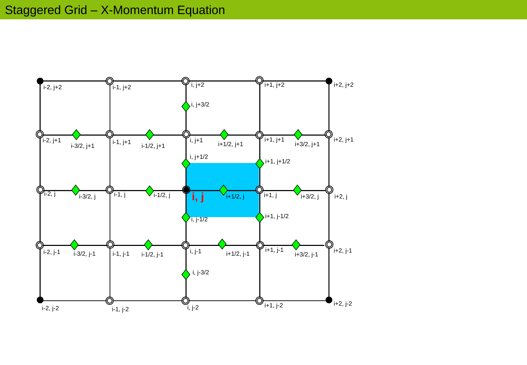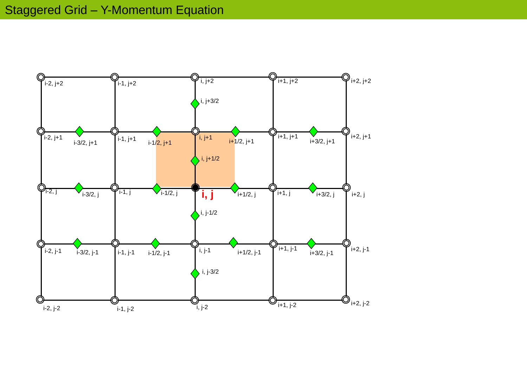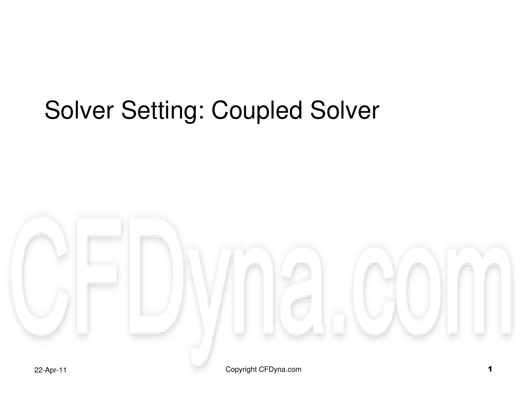# Solver Setting: Coupled Solver

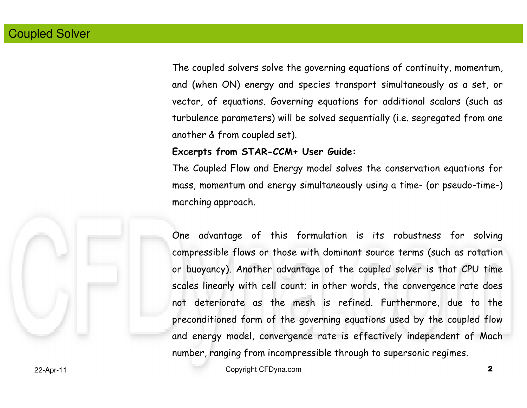The coupled solvers solve the governing equations of continuity, momentum, and (when ON) energy and species transport simultaneously as <sup>a</sup> set, or vector, of equations. Governing equations for additional scalars (such as turbulence parameters) will be solved sequentially (i.e. segregated from oneanother & from coupled set).

#### Excerpts from STAR-CCM+ User Guide:

The Coupled Flow and Energy model solves the conservation equations for mass, momentum and energy simultaneously using <sup>a</sup> time- (or pseudo-time-) marching approach.



One advantage of this formulation is its robustness for solvingcompressible flows or those with dominant source terms (such as rotationor buoyancy). Another advantage of the coupled solver is that CPU timescales linearly with cell count; in other words, the convergence rate does not deteriorate as the mesh is refined. Furthermore, due to thepreconditioned form of the governing equations used by the coupled flowand energy model, convergence rate is effectively independent of Machnumber, ranging from incompressible through to supersonic regimes.

Copyright CFDyna.com